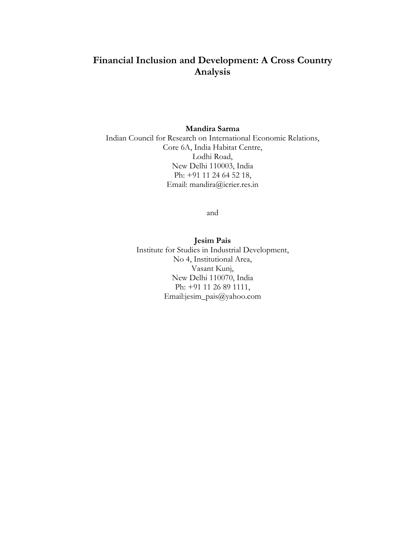# **Financial Inclusion and Development: A Cross Country Analysis**

# **Mandira Sarma**

Indian Council for Research on International Economic Relations, Core 6A, India Habitat Centre, Lodhi Road, New Delhi 110003, India Ph: +91 11 24 64 52 18, Email: mandira@icrier.res.in

and

**Jesim Pais**  Institute for Studies in Industrial Development, No 4, Institutional Area, Vasant Kunj, New Delhi 110070, India Ph: +91 11 26 89 1111, Email:jesim\_pais@yahoo.com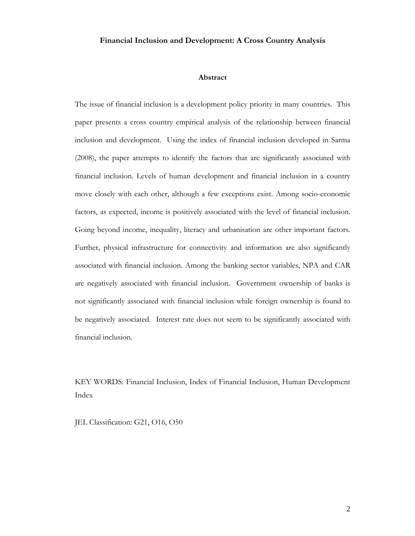# **Financial Inclusion and Development: A Cross Country Analysis**

### **Abstract**

The issue of financial inclusion is a development policy priority in many countries. This paper presents a cross country empirical analysis of the relationship between financial inclusion and development. Using the index of financial inclusion developed in Sarma (2008), the paper attempts to identify the factors that are significantly associated with financial inclusion. Levels of human development and financial inclusion in a country move closely with each other, although a few exceptions exist. Among socio-economic factors, as expected, income is positively associated with the level of financial inclusion. Going beyond income, inequality, literacy and urbanisation are other important factors. Further, physical infrastructure for connectivity and information are also significantly associated with financial inclusion. Among the banking sector variables, NPA and CAR are negatively associated with financial inclusion. Government ownership of banks is not significantly associated with financial inclusion while foreign ownership is found to be negatively associated. Interest rate does not seem to be significantly associated with financial inclusion.

KEY WORDS: Financial Inclusion, Index of Financial Inclusion, Human Development Index

JEL Classification: G21, O16, O50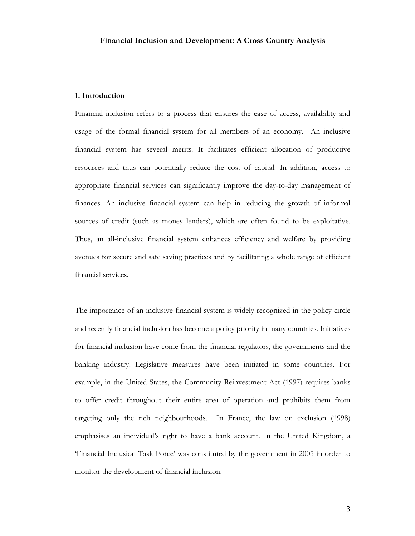### **1. Introduction**

Financial inclusion refers to a process that ensures the ease of access, availability and usage of the formal financial system for all members of an economy. An inclusive financial system has several merits. It facilitates efficient allocation of productive resources and thus can potentially reduce the cost of capital. In addition, access to appropriate financial services can significantly improve the day-to-day management of finances. An inclusive financial system can help in reducing the growth of informal sources of credit (such as money lenders), which are often found to be exploitative. Thus, an all-inclusive financial system enhances efficiency and welfare by providing avenues for secure and safe saving practices and by facilitating a whole range of efficient financial services.

The importance of an inclusive financial system is widely recognized in the policy circle and recently financial inclusion has become a policy priority in many countries. Initiatives for financial inclusion have come from the financial regulators, the governments and the banking industry. Legislative measures have been initiated in some countries. For example, in the United States, the Community Reinvestment Act (1997) requires banks to offer credit throughout their entire area of operation and prohibits them from targeting only the rich neighbourhoods. In France, the law on exclusion (1998) emphasises an individual's right to have a bank account. In the United Kingdom, a 'Financial Inclusion Task Force' was constituted by the government in 2005 in order to monitor the development of financial inclusion.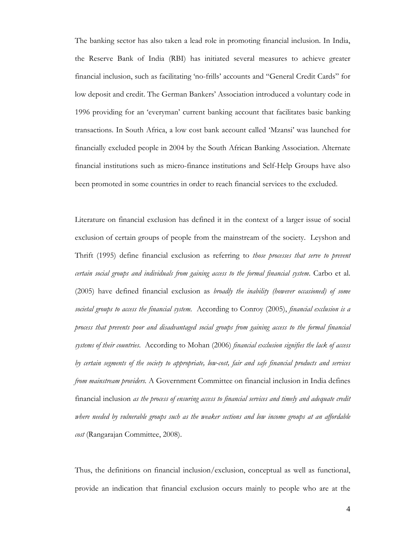The banking sector has also taken a lead role in promoting financial inclusion. In India, the Reserve Bank of India (RBI) has initiated several measures to achieve greater financial inclusion, such as facilitating 'no-frills' accounts and "General Credit Cards" for low deposit and credit. The German Bankers' Association introduced a voluntary code in 1996 providing for an 'everyman' current banking account that facilitates basic banking transactions. In South Africa, a low cost bank account called 'Mzansi' was launched for financially excluded people in 2004 by the South African Banking Association. Alternate financial institutions such as micro-finance institutions and Self-Help Groups have also been promoted in some countries in order to reach financial services to the excluded.

Literature on financial exclusion has defined it in the context of a larger issue of social exclusion of certain groups of people from the mainstream of the society. Leyshon and Thrift (1995) define financial exclusion as referring to *those processes that serve to prevent certain social groups and individuals from gaining access to the formal financial system*. Carbo et al. (2005) have defined financial exclusion as *broadly the inability (however occasioned) of some societal groups to access the financial system*. According to Conroy (2005), *financial exclusion is a process that prevents poor and disadvantaged social groups from gaining access to the formal financial systems of their countries*. According to Mohan (2006) *financial exclusion signifies the lack of access by certain segments of the society to appropriate, low-cost, fair and safe financial products and services from mainstream providers.* A Government Committee on financial inclusion in India defines financial inclusion *as the process of ensuring access to financial services and timely and adequate credit where needed by vulnerable groups such as the weaker sections and low income groups at an affordable cost* (Rangarajan Committee, 2008).

Thus, the definitions on financial inclusion/exclusion, conceptual as well as functional, provide an indication that financial exclusion occurs mainly to people who are at the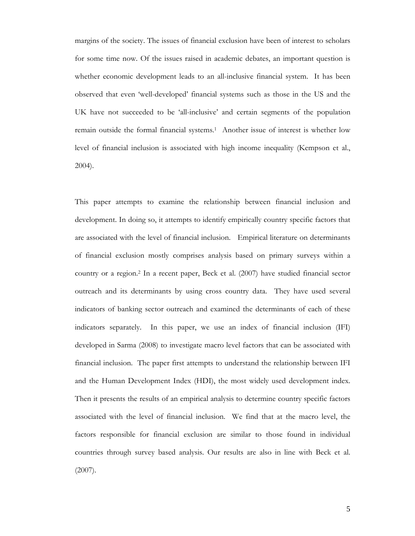margins of the society. The issues of financial exclusion have been of interest to scholars for some time now. Of the issues raised in academic debates, an important question is whether economic development leads to an all-inclusive financial system. It has been observed that even 'well-developed' financial systems such as those in the US and the UK have not succeeded to be 'all-inclusive' and certain segments of the population remain outside the formal financial systems.1 Another issue of interest is whether low level of financial inclusion is associated with high income inequality (Kempson et al., 2004).

This paper attempts to examine the relationship between financial inclusion and development. In doing so, it attempts to identify empirically country specific factors that are associated with the level of financial inclusion. Empirical literature on determinants of financial exclusion mostly comprises analysis based on primary surveys within a country or a region.2 In a recent paper, Beck et al. (2007) have studied financial sector outreach and its determinants by using cross country data. They have used several indicators of banking sector outreach and examined the determinants of each of these indicators separately. In this paper, we use an index of financial inclusion (IFI) developed in Sarma (2008) to investigate macro level factors that can be associated with financial inclusion. The paper first attempts to understand the relationship between IFI and the Human Development Index (HDI), the most widely used development index. Then it presents the results of an empirical analysis to determine country specific factors associated with the level of financial inclusion. We find that at the macro level, the factors responsible for financial exclusion are similar to those found in individual countries through survey based analysis. Our results are also in line with Beck et al. (2007).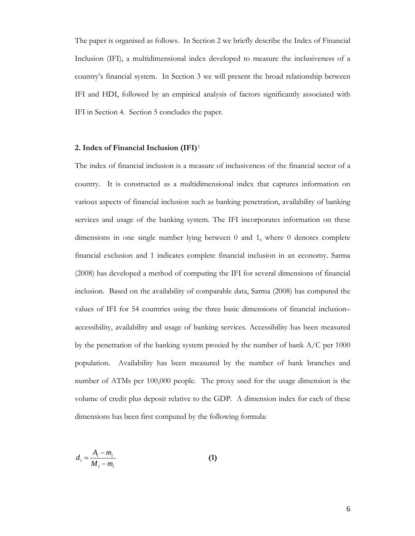The paper is organised as follows. In Section 2 we briefly describe the Index of Financial Inclusion (IFI), a multidimensional index developed to measure the inclusiveness of a country's financial system. In Section 3 we will present the broad relationship between IFI and HDI, followed by an empirical analysis of factors significantly associated with IFI in Section 4. Section 5 concludes the paper.

#### **2. Index of Financial Inclusion (IFI)**<sup>3</sup>

The index of financial inclusion is a measure of inclusiveness of the financial sector of a country. It is constructed as a multidimensional index that captures information on various aspects of financial inclusion such as banking penetration, availability of banking services and usage of the banking system. The IFI incorporates information on these dimensions in one single number lying between 0 and 1, where 0 denotes complete financial exclusion and 1 indicates complete financial inclusion in an economy. Sarma (2008) has developed a method of computing the IFI for several dimensions of financial inclusion. Based on the availability of comparable data, Sarma (2008) has computed the values of IFI for 54 countries using the three basic dimensions of financial inclusion– accessibility, availability and usage of banking services. Accessibility has been measured by the penetration of the banking system proxied by the number of bank A/C per 1000 population. Availability has been measured by the number of bank branches and number of ATMs per 100,000 people. The proxy used for the usage dimension is the volume of credit plus deposit relative to the GDP. A dimension index for each of these dimensions has been first computed by the following formula:

$$
d_i = \frac{A_i - m_i}{M_i - m_i} \tag{1}
$$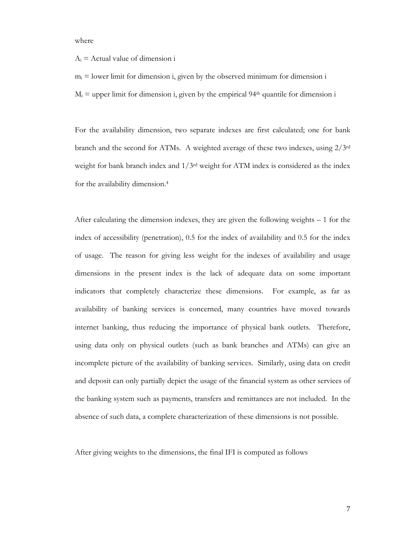where

 $A_i$  = Actual value of dimension i

 $m_i$  = lower limit for dimension i, given by the observed minimum for dimension i  $M_i$  = upper limit for dimension i, given by the empirical 94<sup>th</sup> quantile for dimension i

For the availability dimension, two separate indexes are first calculated; one for bank branch and the second for ATMs. A weighted average of these two indexes, using 2/3rd weight for bank branch index and  $1/3<sup>rd</sup>$  weight for ATM index is considered as the index for the availability dimension.4

After calculating the dimension indexes, they are given the following weights – 1 for the index of accessibility (penetration), 0.5 for the index of availability and 0.5 for the index of usage. The reason for giving less weight for the indexes of availability and usage dimensions in the present index is the lack of adequate data on some important indicators that completely characterize these dimensions. For example, as far as availability of banking services is concerned, many countries have moved towards internet banking, thus reducing the importance of physical bank outlets. Therefore, using data only on physical outlets (such as bank branches and ATMs) can give an incomplete picture of the availability of banking services. Similarly, using data on credit and deposit can only partially depict the usage of the financial system as other services of the banking system such as payments, transfers and remittances are not included. In the absence of such data, a complete characterization of these dimensions is not possible.

After giving weights to the dimensions, the final IFI is computed as follows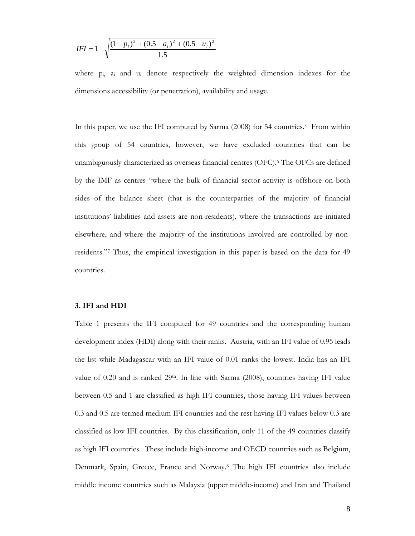$$
IFI = 1 - \sqrt{\frac{(1 - p_i)^2 + (0.5 - a_i)^2 + (0.5 - u_i)^2}{1.5}}
$$

where pi, ai and ui denote respectively the weighted dimension indexes for the dimensions accessibility (or penetration), availability and usage.

In this paper, we use the IFI computed by Sarma (2008) for 54 countries.<sup>5</sup> From within this group of 54 countries, however, we have excluded countries that can be unambiguously characterized as overseas financial centres (OFC).6 The OFCs are defined by the IMF as centres "where the bulk of financial sector activity is offshore on both sides of the balance sheet (that is the counterparties of the majority of financial institutions' liabilities and assets are non-residents), where the transactions are initiated elsewhere, and where the majority of the institutions involved are controlled by nonresidents."7 Thus, the empirical investigation in this paper is based on the data for 49 countries.

# **3. IFI and HDI**

Table 1 presents the IFI computed for 49 countries and the corresponding human development index (HDI) along with their ranks. Austria, with an IFI value of 0.95 leads the list while Madagascar with an IFI value of 0.01 ranks the lowest. India has an IFI value of 0.20 and is ranked  $29<sup>th</sup>$ . In line with Sarma (2008), countries having IFI value between 0.5 and 1 are classified as high IFI countries, those having IFI values between 0.3 and 0.5 are termed medium IFI countries and the rest having IFI values below 0.3 are classified as low IFI countries. By this classification, only 11 of the 49 countries classify as high IFI countries. These include high-income and OECD countries such as Belgium, Denmark, Spain, Greece, France and Norway.8 The high IFI countries also include middle income countries such as Malaysia (upper middle-income) and Iran and Thailand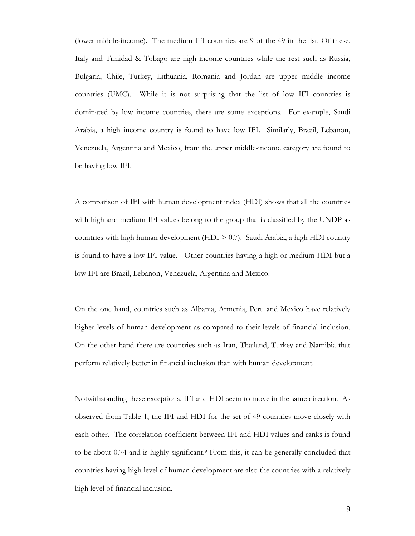(lower middle-income). The medium IFI countries are 9 of the 49 in the list. Of these, Italy and Trinidad & Tobago are high income countries while the rest such as Russia, Bulgaria, Chile, Turkey, Lithuania, Romania and Jordan are upper middle income countries (UMC). While it is not surprising that the list of low IFI countries is dominated by low income countries, there are some exceptions. For example, Saudi Arabia, a high income country is found to have low IFI. Similarly, Brazil, Lebanon, Venezuela, Argentina and Mexico, from the upper middle-income category are found to be having low IFI.

A comparison of IFI with human development index (HDI) shows that all the countries with high and medium IFI values belong to the group that is classified by the UNDP as countries with high human development (HDI > 0.7). Saudi Arabia, a high HDI country is found to have a low IFI value. Other countries having a high or medium HDI but a low IFI are Brazil, Lebanon, Venezuela, Argentina and Mexico.

On the one hand, countries such as Albania, Armenia, Peru and Mexico have relatively higher levels of human development as compared to their levels of financial inclusion. On the other hand there are countries such as Iran, Thailand, Turkey and Namibia that perform relatively better in financial inclusion than with human development.

Notwithstanding these exceptions, IFI and HDI seem to move in the same direction. As observed from Table 1, the IFI and HDI for the set of 49 countries move closely with each other. The correlation coefficient between IFI and HDI values and ranks is found to be about 0.74 and is highly significant.9 From this, it can be generally concluded that countries having high level of human development are also the countries with a relatively high level of financial inclusion.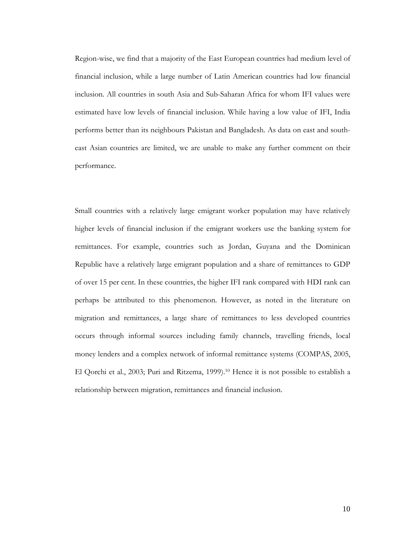Region-wise, we find that a majority of the East European countries had medium level of financial inclusion, while a large number of Latin American countries had low financial inclusion. All countries in south Asia and Sub-Saharan Africa for whom IFI values were estimated have low levels of financial inclusion. While having a low value of IFI, India performs better than its neighbours Pakistan and Bangladesh. As data on east and southeast Asian countries are limited, we are unable to make any further comment on their performance.

Small countries with a relatively large emigrant worker population may have relatively higher levels of financial inclusion if the emigrant workers use the banking system for remittances. For example, countries such as Jordan, Guyana and the Dominican Republic have a relatively large emigrant population and a share of remittances to GDP of over 15 per cent. In these countries, the higher IFI rank compared with HDI rank can perhaps be attributed to this phenomenon. However, as noted in the literature on migration and remittances, a large share of remittances to less developed countries occurs through informal sources including family channels, travelling friends, local money lenders and a complex network of informal remittance systems (COMPAS, 2005, El Qorchi et al., 2003; Puri and Ritzema, 1999).<sup>10</sup> Hence it is not possible to establish a relationship between migration, remittances and financial inclusion.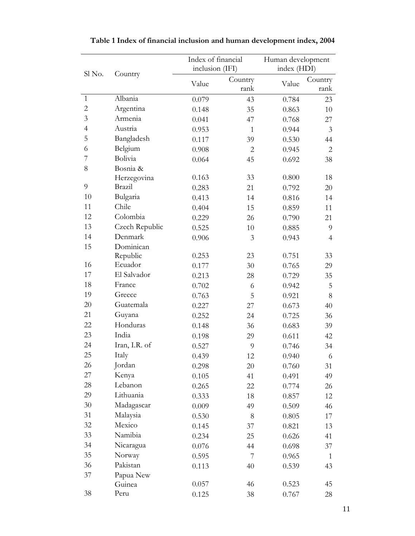|                |                | Index of financial |                | Human development |                |  |
|----------------|----------------|--------------------|----------------|-------------------|----------------|--|
|                |                | inclusion (IFI)    |                | index (HDI)       |                |  |
| Sl No.         | Country        |                    | Country        |                   | Country        |  |
|                |                | Value              | rank           | Value             | rank           |  |
| $\mathbf{1}$   | Albania        | 0.079              | 43             | 0.784             | 23             |  |
| $\overline{2}$ | Argentina      | 0.148              | 35             | 0.863             | 10             |  |
| 3              | Armenia        | 0.041              | 47             | 0.768             | 27             |  |
| $\overline{4}$ | Austria        | 0.953              | $\mathbf{1}$   | 0.944             | $\mathfrak{Z}$ |  |
| 5              | Bangladesh     | 0.117              | 39             | 0.530             | 44             |  |
| 6              | Belgium        | 0.908              | $\overline{2}$ | 0.945             | $\overline{2}$ |  |
| 7              | Bolivia        | 0.064              | 45             | 0.692             | 38             |  |
| 8              | Bosnia &       |                    |                |                   |                |  |
|                | Herzegovina    | 0.163              | 33             | 0.800             | 18             |  |
| 9              | Brazil         | 0.283              | 21             | 0.792             | 20             |  |
| 10             | Bulgaria       | 0.413              | 14             | 0.816             | 14             |  |
| 11             | Chile          | 0.404              | 15             | 0.859             | 11             |  |
| 12             | Colombia       | 0.229              | 26             | 0.790             | 21             |  |
| 13             | Czech Republic | 0.525              | 10             | 0.885             | 9              |  |
| 14             | Denmark        | 0.906              | 3              | 0.943             | $\overline{4}$ |  |
| 15             | Dominican      |                    |                |                   |                |  |
|                | Republic       | 0.253              | 23             | 0.751             | 33             |  |
| 16             | Ecuador        | 0.177              | 30             | 0.765             | 29             |  |
| 17             | El Salvador    | 0.213              | 28             | 0.729             | 35             |  |
| 18             | France         | 0.702              | 6              | 0.942             | 5              |  |
| 19             | Greece         | 0.763              | 5              | 0.921             | $8\,$          |  |
| 20             | Guatemala      | 0.227              | 27             | 0.673             | 40             |  |
| 21             | Guyana         | 0.252              | 24             | 0.725             | 36             |  |
| 22             | Honduras       | 0.148              | 36             | 0.683             | 39             |  |
| 23             | India          | 0.198              | 29             | 0.611             | 42             |  |
| 24             | Iran, I.R. of  | 0.527              | 9              | 0.746             | 34             |  |
| 25             | Italy          | 0.439              | 12             | 0.940             | 6              |  |
| 26             | Jordan         | 0.298              | 20             | 0.760             | 31             |  |
| 27             | Kenya          | 0.105              | 41             | 0.491             | 49             |  |
| 28             | Lebanon        | 0.265              | 22             | 0.774             | 26             |  |
| 29             | Lithuania      | 0.333              | 18             | 0.857             | 12             |  |
| 30             | Madagascar     | 0.009              | 49             | 0.509             | 46             |  |
| 31             | Malaysia       | 0.530              | $8\,$          | 0.805             | 17             |  |
| 32             | Mexico         | 0.145              | 37             | 0.821             | 13             |  |
| 33             | Namibia        | 0.234              | 25             | 0.626             | 41             |  |
| 34             | Nicaragua      | 0.076              | 44             | 0.698             | 37             |  |
| 35             | Norway         | 0.595              | $\overline{7}$ | 0.965             | $\mathbf{1}$   |  |
| 36             | Pakistan       | 0.113              | 40             | 0.539             | 43             |  |
| 37             | Papua New      |                    |                |                   |                |  |
|                | Guinea         | 0.057              | 46             | 0.523             | 45             |  |
| 38             | Peru           | 0.125              | 38             | 0.767             | 28             |  |

| Table 1 Index of financial inclusion and human development index, 2004 |  |  |  |
|------------------------------------------------------------------------|--|--|--|
|                                                                        |  |  |  |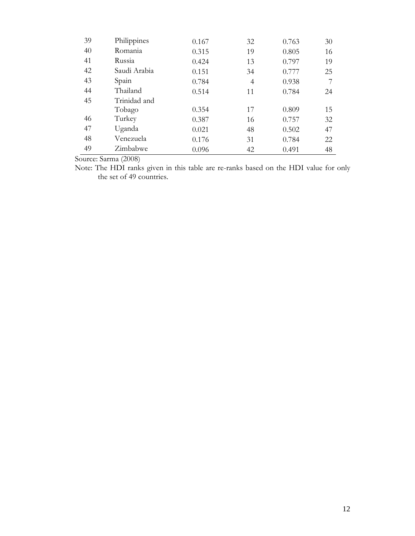| 39 | Philippines  | 0.167 | 32             | 0.763 | 30 |
|----|--------------|-------|----------------|-------|----|
| 40 | Romania      | 0.315 | 19             | 0.805 | 16 |
| 41 | Russia       | 0.424 | 13             | 0.797 | 19 |
| 42 | Saudi Arabia | 0.151 | 34             | 0.777 | 25 |
| 43 | Spain        | 0.784 | $\overline{4}$ | 0.938 | 7  |
| 44 | Thailand     | 0.514 | 11             | 0.784 | 24 |
| 45 | Trinidad and |       |                |       |    |
|    | Tobago       | 0.354 | 17             | 0.809 | 15 |
| 46 | Turkey       | 0.387 | 16             | 0.757 | 32 |
| 47 | Uganda       | 0.021 | 48             | 0.502 | 47 |
| 48 | Venezuela    | 0.176 | 31             | 0.784 | 22 |
| 49 | Zimbabwe     | 0.096 | 42             | 0.491 | 48 |

Source: Sarma (2008)

Note: The HDI ranks given in this table are re-ranks based on the HDI value for only the set of 49 countries.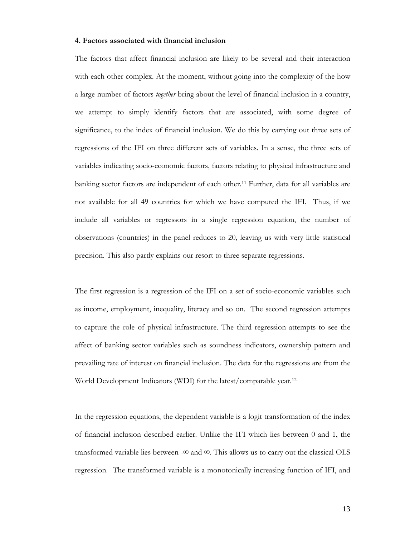## **4. Factors associated with financial inclusion**

The factors that affect financial inclusion are likely to be several and their interaction with each other complex. At the moment, without going into the complexity of the how a large number of factors *together* bring about the level of financial inclusion in a country, we attempt to simply identify factors that are associated, with some degree of significance, to the index of financial inclusion. We do this by carrying out three sets of regressions of the IFI on three different sets of variables. In a sense, the three sets of variables indicating socio-economic factors, factors relating to physical infrastructure and banking sector factors are independent of each other.11 Further, data for all variables are not available for all 49 countries for which we have computed the IFI. Thus, if we include all variables or regressors in a single regression equation, the number of observations (countries) in the panel reduces to 20, leaving us with very little statistical precision. This also partly explains our resort to three separate regressions.

The first regression is a regression of the IFI on a set of socio-economic variables such as income, employment, inequality, literacy and so on. The second regression attempts to capture the role of physical infrastructure. The third regression attempts to see the affect of banking sector variables such as soundness indicators, ownership pattern and prevailing rate of interest on financial inclusion. The data for the regressions are from the World Development Indicators (WDI) for the latest/comparable year.12

In the regression equations, the dependent variable is a logit transformation of the index of financial inclusion described earlier. Unlike the IFI which lies between 0 and 1, the transformed variable lies between -∞ and  $\infty$ . This allows us to carry out the classical OLS regression. The transformed variable is a monotonically increasing function of IFI, and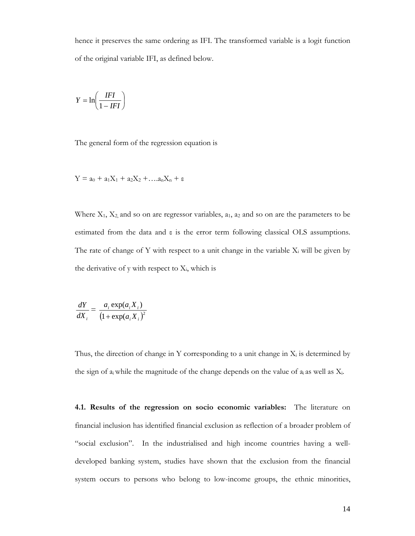hence it preserves the same ordering as IFI. The transformed variable is a logit function of the original variable IFI, as defined below.

$$
Y = \ln\left(\frac{IFI}{1 - IFI}\right)
$$

The general form of the regression equation is

$$
Y = a_0 + a_1X_1 + a_2X_2 + \dots a_nX_n + \epsilon
$$

Where  $X_1, X_2$  and so on are regressor variables,  $a_1, a_2$  and so on are the parameters to be estimated from the data and ε is the error term following classical OLS assumptions. The rate of change of Y with respect to a unit change in the variable  $X_i$  will be given by the derivative of y with respect to  $X_i$ , which is

$$
\frac{dY}{dX_i} = \frac{a_i \exp(a_i X_i)}{(1 + \exp(a_i X_i)^2)}
$$

Thus, the direction of change in Y corresponding to a unit change in  $X_i$  is determined by the sign of  $a_i$  while the magnitude of the change depends on the value of  $a_i$  as well as  $X_i$ .

**4.1. Results of the regression on socio economic variables:** The literature on financial inclusion has identified financial exclusion as reflection of a broader problem of "social exclusion". In the industrialised and high income countries having a welldeveloped banking system, studies have shown that the exclusion from the financial system occurs to persons who belong to low-income groups, the ethnic minorities,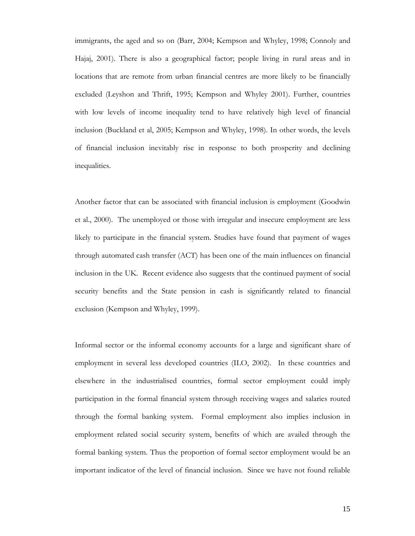immigrants, the aged and so on (Barr, 2004; Kempson and Whyley, 1998; Connoly and Hajaj, 2001). There is also a geographical factor; people living in rural areas and in locations that are remote from urban financial centres are more likely to be financially excluded (Leyshon and Thrift, 1995; Kempson and Whyley 2001). Further, countries with low levels of income inequality tend to have relatively high level of financial inclusion (Buckland et al, 2005; Kempson and Whyley, 1998). In other words, the levels of financial inclusion inevitably rise in response to both prosperity and declining inequalities.

Another factor that can be associated with financial inclusion is employment (Goodwin et al., 2000). The unemployed or those with irregular and insecure employment are less likely to participate in the financial system. Studies have found that payment of wages through automated cash transfer (ACT) has been one of the main influences on financial inclusion in the UK. Recent evidence also suggests that the continued payment of social security benefits and the State pension in cash is significantly related to financial exclusion (Kempson and Whyley, 1999).

Informal sector or the informal economy accounts for a large and significant share of employment in several less developed countries (ILO, 2002). In these countries and elsewhere in the industrialised countries, formal sector employment could imply participation in the formal financial system through receiving wages and salaries routed through the formal banking system. Formal employment also implies inclusion in employment related social security system, benefits of which are availed through the formal banking system. Thus the proportion of formal sector employment would be an important indicator of the level of financial inclusion. Since we have not found reliable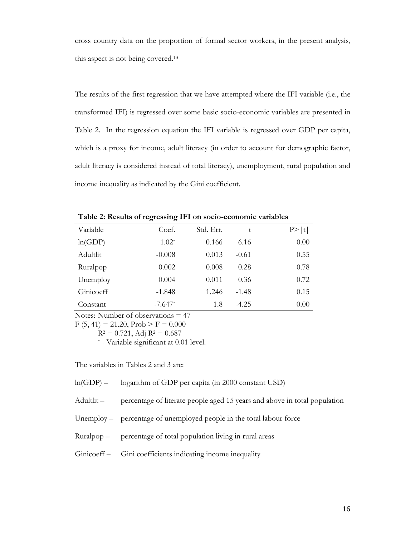cross country data on the proportion of formal sector workers, in the present analysis, this aspect is not being covered.13

The results of the first regression that we have attempted where the IFI variable (i.e., the transformed IFI) is regressed over some basic socio-economic variables are presented in Table 2. In the regression equation the IFI variable is regressed over GDP per capita, which is a proxy for income, adult literacy (in order to account for demographic factor, adult literacy is considered instead of total literacy), unemployment, rural population and income inequality as indicated by the Gini coefficient.

| Variable  | Coef.     | Std. Err. | t       | P >  t |
|-----------|-----------|-----------|---------|--------|
| ln(GDP)   | $1.02*$   | 0.166     | 6.16    | 0.00   |
| Adultlit  | $-0.008$  | 0.013     | $-0.61$ | 0.55   |
| Ruralpop  | 0.002     | 0.008     | 0.28    | 0.78   |
| Unemploy  | 0.004     | 0.011     | 0.36    | 0.72   |
| Ginicoeff | $-1.848$  | 1.246     | $-1.48$ | 0.15   |
| Constant  | $-7.647*$ | 1.8       | $-4.25$ | 0.00   |

**Table 2: Results of regressing IFI on socio-economic variables** 

Notes: Number of observations = 47

 $F (5, 41) = 21.20$ ,  $Prob > F = 0.000$ 

 $R^2 = 0.721$ , Adj  $R^2 = 0.687$ <br>\* - Variable significant at 0.01 level.

The variables in Tables 2 and 3 are:

ln(GDP) – logarithm of GDP per capita (in 2000 constant USD)

Adultlit – percentage of literate people aged 15 years and above in total population

Unemploy – percentage of unemployed people in the total labour force

Ruralpop – percentage of total population living in rural areas

Ginicoeff – Gini coefficients indicating income inequality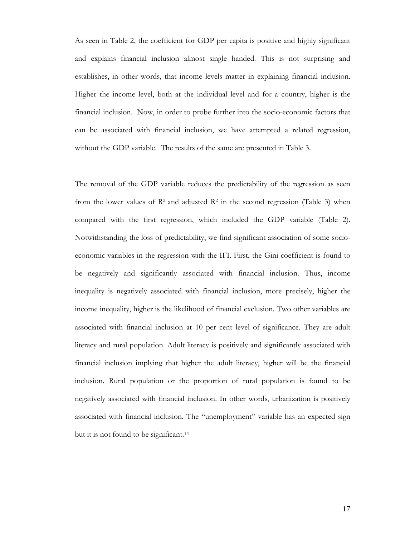As seen in Table 2, the coefficient for GDP per capita is positive and highly significant and explains financial inclusion almost single handed. This is not surprising and establishes, in other words, that income levels matter in explaining financial inclusion. Higher the income level, both at the individual level and for a country, higher is the financial inclusion. Now, in order to probe further into the socio-economic factors that can be associated with financial inclusion, we have attempted a related regression, without the GDP variable. The results of the same are presented in Table 3.

The removal of the GDP variable reduces the predictability of the regression as seen from the lower values of  $\mathbb{R}^2$  and adjusted  $\mathbb{R}^2$  in the second regression (Table 3) when compared with the first regression, which included the GDP variable (Table 2). Notwithstanding the loss of predictability, we find significant association of some socioeconomic variables in the regression with the IFI. First, the Gini coefficient is found to be negatively and significantly associated with financial inclusion. Thus, income inequality is negatively associated with financial inclusion, more precisely, higher the income inequality, higher is the likelihood of financial exclusion. Two other variables are associated with financial inclusion at 10 per cent level of significance. They are adult literacy and rural population. Adult literacy is positively and significantly associated with financial inclusion implying that higher the adult literacy, higher will be the financial inclusion. Rural population or the proportion of rural population is found to be negatively associated with financial inclusion. In other words, urbanization is positively associated with financial inclusion. The "unemployment" variable has an expected sign but it is not found to be significant.14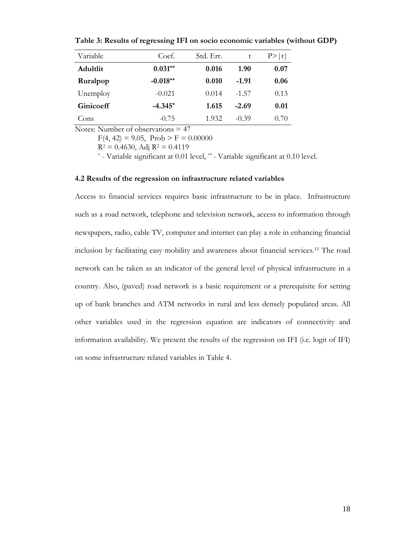| Variable  | Coef.      | Std. Err. | t       | P >  t |
|-----------|------------|-----------|---------|--------|
| Adultlit  | $0.031**$  | 0.016     | 1.90    | 0.07   |
| Ruralpop  | $-0.018**$ | 0.010     | $-1.91$ | 0.06   |
| Unemploy  | $-0.021$   | 0.014     | $-1.57$ | 0.13   |
| Ginicoeff | $-4.345*$  | 1.615     | $-2.69$ | 0.01   |
| Cons      | $-0.75$    | 1.932     | $-0.39$ | 0.70   |

**Table 3: Results of regressing IFI on socio economic variables (without GDP)**

Notes: Number of observations = 47

 $F(4, 42) = 9.05$ ,  $Prob > F = 0.00000$ 

 $R^2 = 0.4630$ , Adj  $R^2 = 0.4119$ <br>\* - Variable significant at 0.01 level, \*\* - Variable significant at 0.10 level.

#### **4.2 Results of the regression on infrastructure related variables**

Access to financial services requires basic infrastructure to be in place. Infrastructure such as a road network, telephone and television network, access to information through newspapers, radio, cable TV, computer and internet can play a role in enhancing financial inclusion by facilitating easy mobility and awareness about financial services.15 The road network can be taken as an indicator of the general level of physical infrastructure in a country. Also, (paved) road network is a basic requirement or a prerequisite for setting up of bank branches and ATM networks in rural and less densely populated areas. All other variables used in the regression equation are indicators of connectivity and information availability. We present the results of the regression on IFI (i.e. logit of IFI) on some infrastructure related variables in Table 4.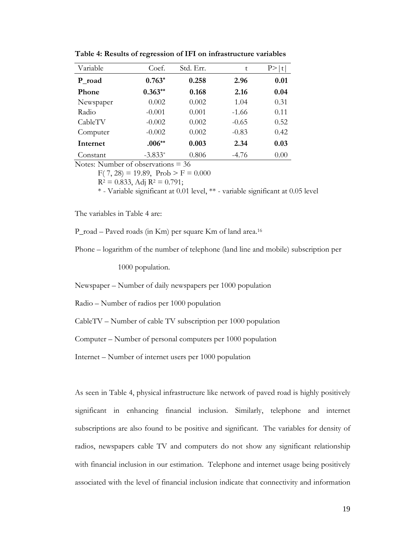| Variable  | Coef.     | Std. Err. | t       | t    |
|-----------|-----------|-----------|---------|------|
| P_road    | $0.763*$  | 0.258     | 2.96    | 0.01 |
| Phone     | $0.363**$ | 0.168     | 2.16    | 0.04 |
| Newspaper | 0.002     | 0.002     | 1.04    | 0.31 |
| Radio     | $-0.001$  | 0.001     | $-1.66$ | 0.11 |
| CableTV   | $-0.002$  | 0.002     | $-0.65$ | 0.52 |
| Computer  | $-0.002$  | 0.002     | $-0.83$ | 0.42 |
| Internet  | $.006**$  | 0.003     | 2.34    | 0.03 |
| Constant  | $-3.833*$ | 0.806     | $-4.76$ | 0.00 |

**Table 4: Results of regression of IFI on infrastructure variables** 

Notes: Number of observations = 36

 $F( 7, 28) = 19.89$ ,  $Prob > F = 0.000$ 

 $R^2 = 0.833$ , Adj  $R^2 = 0.791$ ;

\* - Variable significant at 0.01 level, \*\* - variable significant at 0.05 level

The variables in Table 4 are:

P\_road – Paved roads (in Km) per square Km of land area.16

Phone – logarithm of the number of telephone (land line and mobile) subscription per

1000 population.

Newspaper – Number of daily newspapers per 1000 population

Radio – Number of radios per 1000 population

CableTV – Number of cable TV subscription per 1000 population

Computer – Number of personal computers per 1000 population

Internet – Number of internet users per 1000 population

As seen in Table 4, physical infrastructure like network of paved road is highly positively significant in enhancing financial inclusion. Similarly, telephone and internet subscriptions are also found to be positive and significant. The variables for density of radios, newspapers cable TV and computers do not show any significant relationship with financial inclusion in our estimation. Telephone and internet usage being positively associated with the level of financial inclusion indicate that connectivity and information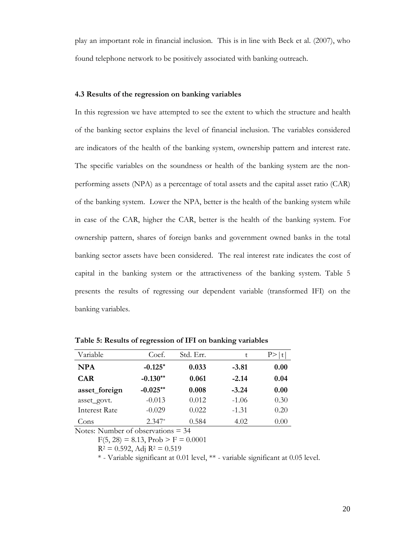play an important role in financial inclusion. This is in line with Beck et al. (2007), who found telephone network to be positively associated with banking outreach.

#### **4.3 Results of the regression on banking variables**

In this regression we have attempted to see the extent to which the structure and health of the banking sector explains the level of financial inclusion. The variables considered are indicators of the health of the banking system, ownership pattern and interest rate. The specific variables on the soundness or health of the banking system are the nonperforming assets (NPA) as a percentage of total assets and the capital asset ratio (CAR) of the banking system. Lower the NPA, better is the health of the banking system while in case of the CAR, higher the CAR, better is the health of the banking system. For ownership pattern, shares of foreign banks and government owned banks in the total banking sector assets have been considered. The real interest rate indicates the cost of capital in the banking system or the attractiveness of the banking system. Table 5 presents the results of regressing our dependent variable (transformed IFI) on the banking variables.

| Variable             | Coef.      | Std. Err. | t       |      |
|----------------------|------------|-----------|---------|------|
| <b>NPA</b>           | $-0.125*$  | 0.033     | $-3.81$ | 0.00 |
| <b>CAR</b>           | $-0.130**$ | 0.061     | $-2.14$ | 0.04 |
| asset_foreign        | $-0.025**$ | 0.008     | $-3.24$ | 0.00 |
| asset_govt.          | $-0.013$   | 0.012     | $-1.06$ | 0.30 |
| <b>Interest Rate</b> | $-0.029$   | 0.022     | $-1.31$ | 0.20 |
| Cons                 | $2.347*$   | 0.584     | 4.02    | 0.00 |

**Table 5: Results of regression of IFI on banking variables** 

Notes: Number of observations = 34

 $F(5, 28) = 8.13$ ,  $Prob > F = 0.0001$ 

 $R^2 = 0.592$ , Adj  $R^2 = 0.519$ 

\* - Variable significant at 0.01 level, \*\* - variable significant at 0.05 level.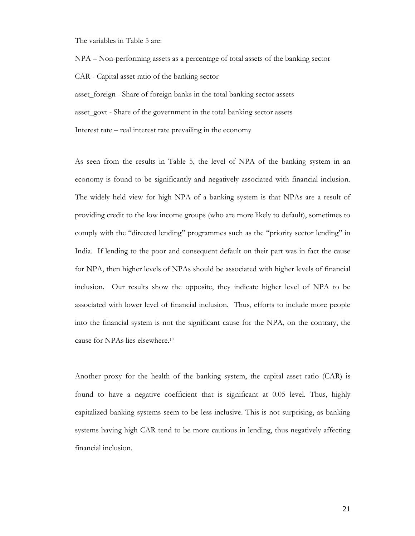The variables in Table 5 are:

NPA – Non-performing assets as a percentage of total assets of the banking sector

CAR - Capital asset ratio of the banking sector

asset\_foreign - Share of foreign banks in the total banking sector assets

asset govt - Share of the government in the total banking sector assets

Interest rate – real interest rate prevailing in the economy

As seen from the results in Table 5, the level of NPA of the banking system in an economy is found to be significantly and negatively associated with financial inclusion. The widely held view for high NPA of a banking system is that NPAs are a result of providing credit to the low income groups (who are more likely to default), sometimes to comply with the "directed lending" programmes such as the "priority sector lending" in India. If lending to the poor and consequent default on their part was in fact the cause for NPA, then higher levels of NPAs should be associated with higher levels of financial inclusion. Our results show the opposite, they indicate higher level of NPA to be associated with lower level of financial inclusion. Thus, efforts to include more people into the financial system is not the significant cause for the NPA, on the contrary, the cause for NPAs lies elsewhere.17

Another proxy for the health of the banking system, the capital asset ratio (CAR) is found to have a negative coefficient that is significant at 0.05 level. Thus, highly capitalized banking systems seem to be less inclusive. This is not surprising, as banking systems having high CAR tend to be more cautious in lending, thus negatively affecting financial inclusion.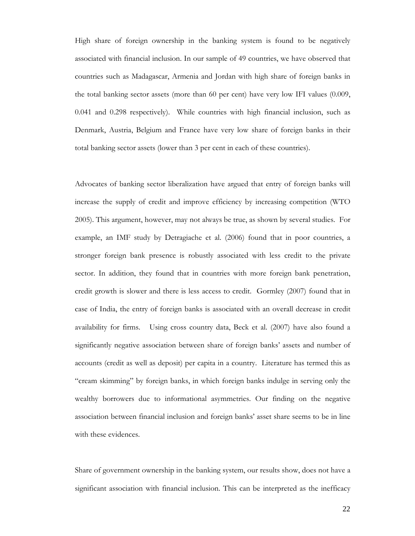High share of foreign ownership in the banking system is found to be negatively associated with financial inclusion. In our sample of 49 countries, we have observed that countries such as Madagascar, Armenia and Jordan with high share of foreign banks in the total banking sector assets (more than 60 per cent) have very low IFI values (0.009, 0.041 and 0.298 respectively). While countries with high financial inclusion, such as Denmark, Austria, Belgium and France have very low share of foreign banks in their total banking sector assets (lower than 3 per cent in each of these countries).

Advocates of banking sector liberalization have argued that entry of foreign banks will increase the supply of credit and improve efficiency by increasing competition (WTO 2005). This argument, however, may not always be true, as shown by several studies. For example, an IMF study by Detragiache et al. (2006) found that in poor countries, a stronger foreign bank presence is robustly associated with less credit to the private sector. In addition, they found that in countries with more foreign bank penetration, credit growth is slower and there is less access to credit. Gormley (2007) found that in case of India, the entry of foreign banks is associated with an overall decrease in credit availability for firms. Using cross country data, Beck et al. (2007) have also found a significantly negative association between share of foreign banks' assets and number of accounts (credit as well as deposit) per capita in a country. Literature has termed this as "cream skimming" by foreign banks, in which foreign banks indulge in serving only the wealthy borrowers due to informational asymmetries. Our finding on the negative association between financial inclusion and foreign banks' asset share seems to be in line with these evidences.

Share of government ownership in the banking system, our results show, does not have a significant association with financial inclusion. This can be interpreted as the inefficacy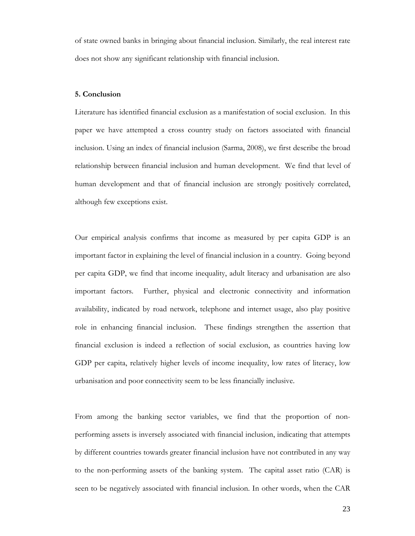of state owned banks in bringing about financial inclusion. Similarly, the real interest rate does not show any significant relationship with financial inclusion.

# **5. Conclusion**

Literature has identified financial exclusion as a manifestation of social exclusion. In this paper we have attempted a cross country study on factors associated with financial inclusion. Using an index of financial inclusion (Sarma, 2008), we first describe the broad relationship between financial inclusion and human development. We find that level of human development and that of financial inclusion are strongly positively correlated, although few exceptions exist.

Our empirical analysis confirms that income as measured by per capita GDP is an important factor in explaining the level of financial inclusion in a country. Going beyond per capita GDP, we find that income inequality, adult literacy and urbanisation are also important factors. Further, physical and electronic connectivity and information availability, indicated by road network, telephone and internet usage, also play positive role in enhancing financial inclusion. These findings strengthen the assertion that financial exclusion is indeed a reflection of social exclusion, as countries having low GDP per capita, relatively higher levels of income inequality, low rates of literacy, low urbanisation and poor connectivity seem to be less financially inclusive.

From among the banking sector variables, we find that the proportion of nonperforming assets is inversely associated with financial inclusion, indicating that attempts by different countries towards greater financial inclusion have not contributed in any way to the non-performing assets of the banking system. The capital asset ratio (CAR) is seen to be negatively associated with financial inclusion. In other words, when the CAR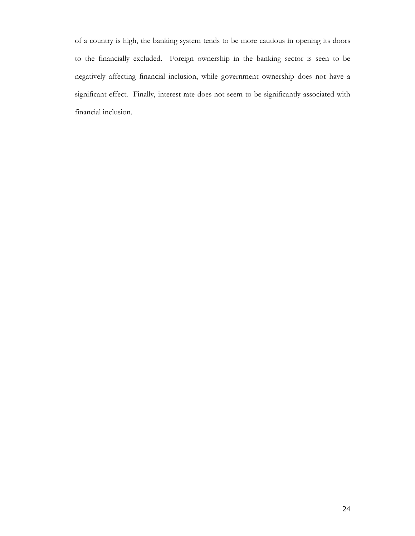of a country is high, the banking system tends to be more cautious in opening its doors to the financially excluded. Foreign ownership in the banking sector is seen to be negatively affecting financial inclusion, while government ownership does not have a significant effect. Finally, interest rate does not seem to be significantly associated with financial inclusion.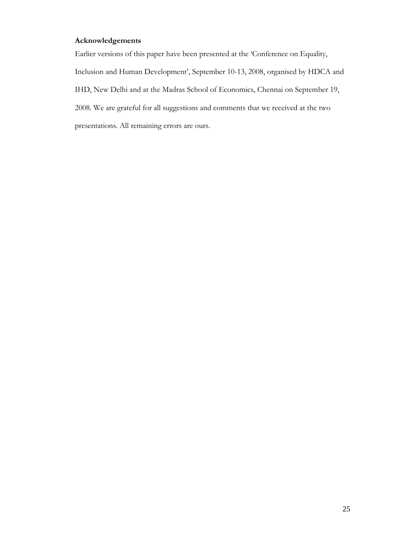# **Acknowledgements**

Earlier versions of this paper have been presented at the 'Conference on Equality, Inclusion and Human Development', September 10-13, 2008, organised by HDCA and IHD, New Delhi and at the Madras School of Economics, Chennai on September 19, 2008. We are grateful for all suggestions and comments that we received at the two presentations. All remaining errors are ours.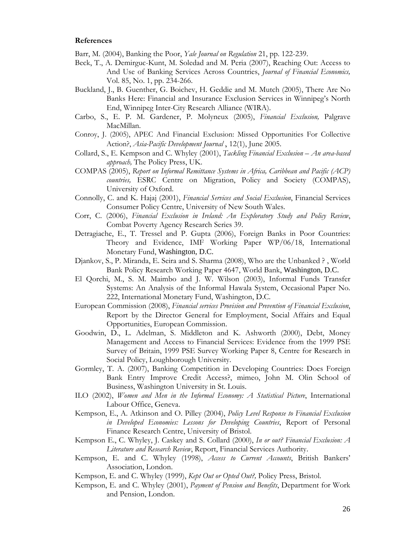#### **References**

- Barr, M. (2004), Banking the Poor, *Yale Journal on Regulation* 21, pp. 122-239.
- Beck, T., A. Demirguc-Kunt, M. Soledad and M. Peria (2007), Reaching Out: Access to And Use of Banking Services Across Countries, *Journal of Financial Economics,* Vol. 85, No. 1, pp. 234-266.
- Buckland, J., B. Guenther, G. Boichev, H. Geddie and M. Mutch (2005), There Are No Banks Here: Financial and Insurance Exclusion Services in Winnipeg's North End, Winnipeg Inter-City Research Alliance (WIRA).
- Carbo, S., E. P. M. Gardener, P. Molyneux (2005), *Financial Exclusion,* Palgrave MacMillan.
- Conroy, J. (2005), APEC And Financial Exclusion: Missed Opportunities For Collective Action?, *Asia-Pacific Development Journal* , 12(1), June 2005.
- Collard, S., E. Kempson and C. Whyley (2001), *Tackling Financial Exclusion An area-based approach,* The Policy Press, UK.
- COMPAS (2005), *Report on Informal Remittance Systems in Africa, Caribbean and Pacific (ACP) countries,* ESRC Centre on Migration, Policy and Society (COMPAS), University of Oxford.
- Connolly, C. and K. Hajaj (2001), *Financial Services and Social Exclusion*, Financial Services Consumer Policy Centre, University of New South Wales.
- Corr, C. (2006), *Financial Exclusion in Ireland: An Exploratory Study and Policy Review*, Combat Poverty Agency Research Series 39.
- Detragiache, E., T. Tressel and P. Gupta (2006), Foreign Banks in Poor Countries: Theory and Evidence, IMF Working Paper WP/06/18, International Monetary Fund, Washington, D.C.
- Djankov, S., P. Miranda, E. Seira and S. Sharma (2008), Who are the Unbanked ? , World Bank Policy Research Working Paper 4647, World Bank, Washington, D.C.
- El Qorchi, M., S. M. Maimbo and J. W. Wilson (2003), Informal Funds Transfer Systems: An Analysis of the Informal Hawala System, Occasional Paper No. 222, International Monetary Fund, Washington, D.C.
- European Commission (2008), *Financial services Provision and Prevention of Financial Exclusion*, Report by the Director General for Employment, Social Affairs and Equal Opportunities, European Commission.
- Goodwin, D., L. Adelman, S. Middleton and K. Ashworth (2000), Debt, Money Management and Access to Financial Services: Evidence from the 1999 PSE Survey of Britain, 1999 PSE Survey Working Paper 8, Centre for Research in Social Policy, Loughborough University.
- Gormley, T. A. (2007), Banking Competition in Developing Countries: Does Foreign Bank Entry Improve Credit Access?, mimeo, John M. Olin School of Business, Washington University in St. Louis.
- ILO (2002), *Women and Men in the Informal Economy: A Statistical Picture*, International Labour Office, Geneva.
- Kempson, E., A. Atkinson and O. Pilley (2004), *Policy Level Response to Financial Exclusion in Developed Economies: Lessons for Developing Countries*, Report of Personal Finance Research Centre, University of Bristol.
- Kempson E., C. Whyley, J. Caskey and S. Collard (2000), *In or out? Financial Exclusion: A Literature and Research Review*, Report, Financial Services Authority.
- Kempson, E. and C. Whyley (1998), *Access to Current Accounts*, British Bankers' Association, London.
- Kempson, E. and C. Whyley (1999), *Kept Out or Opted Out?,* Policy Press, Bristol.
- Kempson, E. and C. Whyley (2001), *Payment of Pension and Benefits*, Department for Work and Pension, London.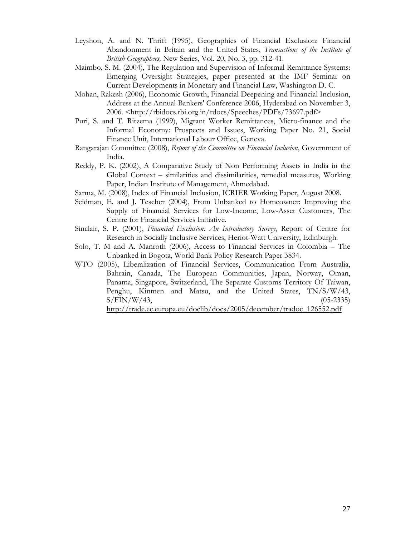- Leyshon, A. and N. Thrift (1995), Geographies of Financial Exclusion: Financial Abandonment in Britain and the United States, *Transactions of the Institute of British Geographers,* New Series, Vol. 20, No. 3, pp. 312-41.
- Maimbo, S. M. (2004), The Regulation and Supervision of Informal Remittance Systems: Emerging Oversight Strategies, paper presented at the IMF Seminar on Current Developments in Monetary and Financial Law, Washington D. C.
- Mohan, Rakesh (2006), Economic Growth, Financial Deepening and Financial Inclusion, Address at the Annual Bankers' Conference 2006, Hyderabad on November 3, 2006. <http://rbidocs.rbi.org.in/rdocs/Speeches/PDFs/73697.pdf>
- Puri, S. and T. Ritzema (1999), Migrant Worker Remittances, Micro-finance and the Informal Economy: Prospects and Issues, Working Paper No. 21, Social Finance Unit, International Labour Office, Geneva.
- Rangarajan Committee (2008), *Report of the Committee on Financial Inclusion*, Government of India.
- Reddy, P. K. (2002), A Comparative Study of Non Performing Assets in India in the Global Context – similarities and dissimilarities, remedial measures, Working Paper, Indian Institute of Management, Ahmedabad.
- Sarma, M. (2008), Index of Financial Inclusion, ICRIER Working Paper, August 2008.
- Seidman, E. and J. Tescher (2004), From Unbanked to Homeowner: Improving the Supply of Financial Services for Low-Income, Low-Asset Customers, The Centre for Financial Services Initiative.
- Sinclair, S. P. (2001), *Financial Exclusion: An Introductory Survey*, Report of Centre for Research in Socially Inclusive Services, Heriot-Watt University, Edinburgh.
- Solo, T. M and A. Manroth (2006), Access to Financial Services in Colombia The Unbanked in Bogota, World Bank Policy Research Paper 3834.
- WTO (2005), Liberalization of Financial Services, Communication From Australia, Bahrain, Canada, The European Communities, Japan, Norway, Oman, Panama, Singapore, Switzerland, The Separate Customs Territory Of Taiwan, Penghu, Kinmen and Matsu, and the United States, TN/S/W/43,  $S/FIN/W/43$ , (05-2335)

http://trade.ec.europa.eu/doclib/docs/2005/december/tradoc\_126552.pdf